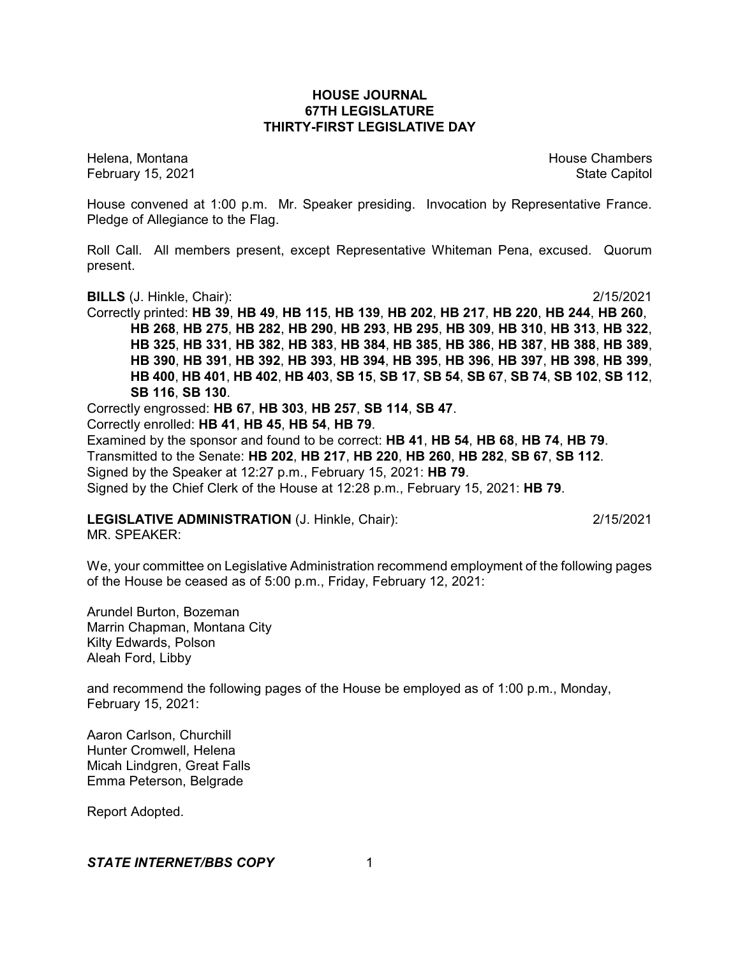### **HOUSE JOURNAL 67TH LEGISLATURE THIRTY-FIRST LEGISLATIVE DAY**

February 15, 2021 **State Capitol** 

Helena, Montana House Chambers Chambers Chambers and House Chambers Chambers Chambers Chambers Chambers Chambers

House convened at 1:00 p.m. Mr. Speaker presiding. Invocation by Representative France. Pledge of Allegiance to the Flag.

Roll Call. All members present, except Representative Whiteman Pena, excused. Quorum present.

**BILLS** (J. Hinkle, Chair): 2/15/2021

Correctly printed: **HB 39**, **HB 49**, **HB 115**, **HB 139**, **HB 202**, **HB 217**, **HB 220**, **HB 244**, **HB 260**, **HB 268**, **HB 275**, **HB 282**, **HB 290**, **HB 293**, **HB 295**, **HB 309**, **HB 310**, **HB 313**, **HB 322**, **HB 325**, **HB 331**, **HB 382**, **HB 383**, **HB 384**, **HB 385**, **HB 386**, **HB 387**, **HB 388**, **HB 389**, **HB 390**, **HB 391**, **HB 392**, **HB 393**, **HB 394**, **HB 395**, **HB 396**, **HB 397**, **HB 398**, **HB 399**, HB 400, HB 401, HB 402, HB 403, SB 15, SB 17, SB 54, SB 67, SB 74, SB 102, SB 112, **SB 116**, **SB 130**.

Correctly engrossed: **HB 67**, **HB 303**, **HB 257**, **SB 114**, **SB 47**.

Correctly enrolled: **HB 41**, **HB 45**, **HB 54**, **HB 79**.

Examined by the sponsor and found to be correct: **HB 41**, **HB 54**, **HB 68**, **HB 74**, **HB 79**. Transmitted to the Senate: **HB 202**, **HB 217**, **HB 220**, **HB 260**, **HB 282**, **SB 67**, **SB 112**. Signed by the Speaker at 12:27 p.m., February 15, 2021: **HB 79**. Signed by the Chief Clerk of the House at 12:28 p.m., February 15, 2021: **HB 79**.

**LEGISLATIVE ADMINISTRATION** (J. Hinkle, Chair): 2/15/2021

MR. SPEAKER:

We, your committee on Legislative Administration recommend employment of the following pages of the House be ceased as of 5:00 p.m., Friday, February 12, 2021:

Arundel Burton, Bozeman Marrin Chapman, Montana City Kilty Edwards, Polson Aleah Ford, Libby

and recommend the following pages of the House be employed as of 1:00 p.m., Monday, February 15, 2021:

Aaron Carlson, Churchill Hunter Cromwell, Helena Micah Lindgren, Great Falls Emma Peterson, Belgrade

Report Adopted.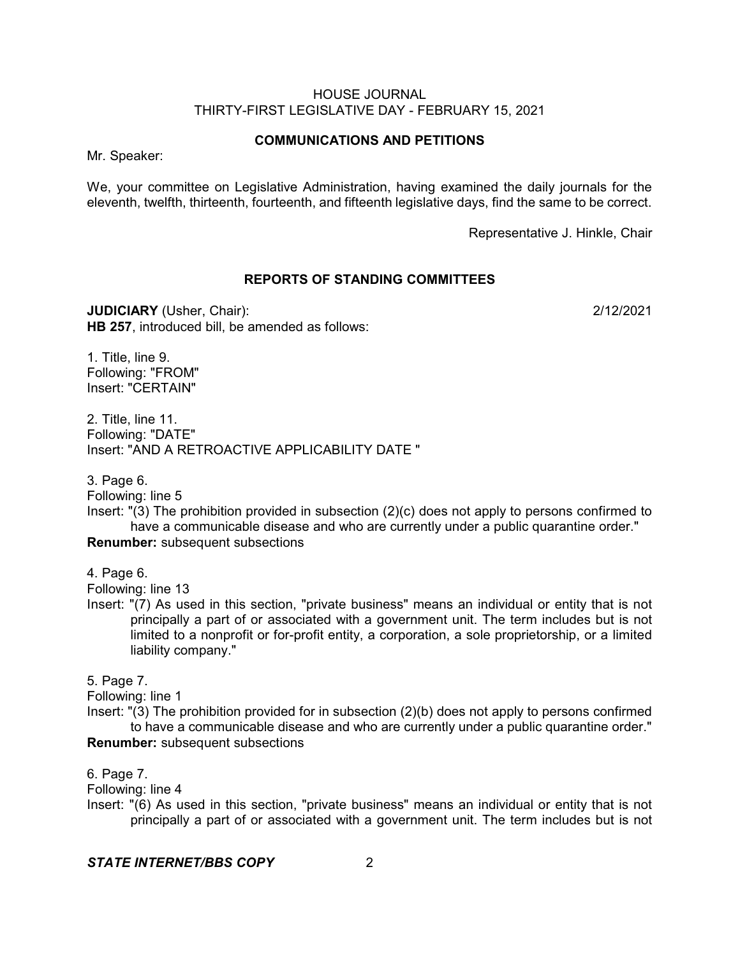### **COMMUNICATIONS AND PETITIONS**

Mr. Speaker:

We, your committee on Legislative Administration, having examined the daily journals for the eleventh, twelfth, thirteenth, fourteenth, and fifteenth legislative days, find the same to be correct.

Representative J. Hinkle, Chair

#### **REPORTS OF STANDING COMMITTEES**

**JUDICIARY** (Usher, Chair): 2/12/2021 **HB 257**, introduced bill, be amended as follows:

1. Title, line 9. Following: "FROM" Insert: "CERTAIN"

2. Title, line 11. Following: "DATE" Insert: "AND A RETROACTIVE APPLICABILITY DATE "

3. Page 6.

Following: line 5

Insert: "(3) The prohibition provided in subsection (2)(c) does not apply to persons confirmed to have a communicable disease and who are currently under a public quarantine order."

**Renumber:** subsequent subsections

4. Page 6.

Following: line 13

Insert: "(7) As used in this section, "private business" means an individual or entity that is not principally a part of or associated with a government unit. The term includes but is not limited to a nonprofit or for-profit entity, a corporation, a sole proprietorship, or a limited liability company."

5. Page 7.

Following: line 1

Insert: "(3) The prohibition provided for in subsection (2)(b) does not apply to persons confirmed to have a communicable disease and who are currently under a public quarantine order." **Renumber:** subsequent subsections

6. Page 7.

Following: line 4

Insert: "(6) As used in this section, "private business" means an individual or entity that is not principally a part of or associated with a government unit. The term includes but is not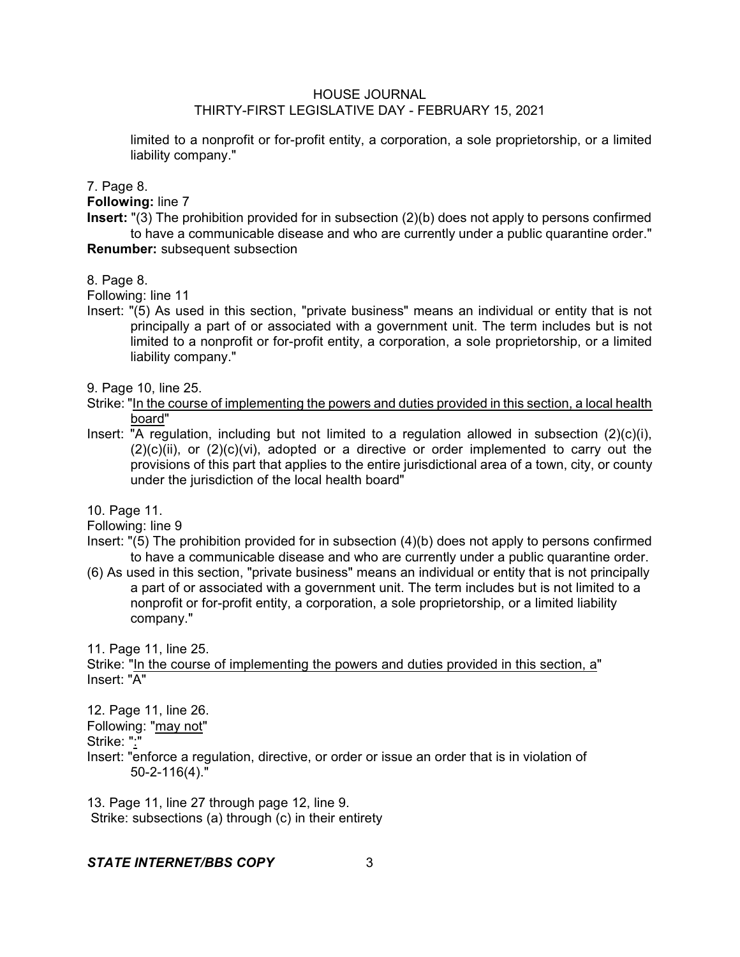limited to a nonprofit or for-profit entity, a corporation, a sole proprietorship, or a limited liability company."

7. Page 8.

**Following:** line 7

**Insert:** "(3) The prohibition provided for in subsection (2)(b) does not apply to persons confirmed to have a communicable disease and who are currently under a public quarantine order." **Renumber:** subsequent subsection

8. Page 8.

Following: line 11

Insert: "(5) As used in this section, "private business" means an individual or entity that is not principally a part of or associated with a government unit. The term includes but is not limited to a nonprofit or for-profit entity, a corporation, a sole proprietorship, or a limited liability company."

9. Page 10, line 25.

- Strike: "In the course of implementing the powers and duties provided in this section, a local health board"
- Insert: "A regulation, including but not limited to a regulation allowed in subsection (2)(c)(i),  $(2)(c)(ii)$ , or  $(2)(c)(vi)$ , adopted or a directive or order implemented to carry out the provisions of this part that applies to the entire jurisdictional area of a town, city, or county under the jurisdiction of the local health board"

10. Page 11.

Following: line 9

- Insert: "(5) The prohibition provided for in subsection (4)(b) does not apply to persons confirmed to have a communicable disease and who are currently under a public quarantine order.
- (6) As used in this section, "private business" means an individual or entity that is not principally a part of or associated with a government unit. The term includes but is not limited to a nonprofit or for-profit entity, a corporation, a sole proprietorship, or a limited liability company."

11. Page 11, line 25.

Strike: "In the course of implementing the powers and duties provided in this section, a" Insert: "A"

12. Page 11, line 26.

Following: "may not"

Strike: ":"

Insert: "enforce a regulation, directive, or order or issue an order that is in violation of 50-2-116(4)."

13. Page 11, line 27 through page 12, line 9. Strike: subsections (a) through (c) in their entirety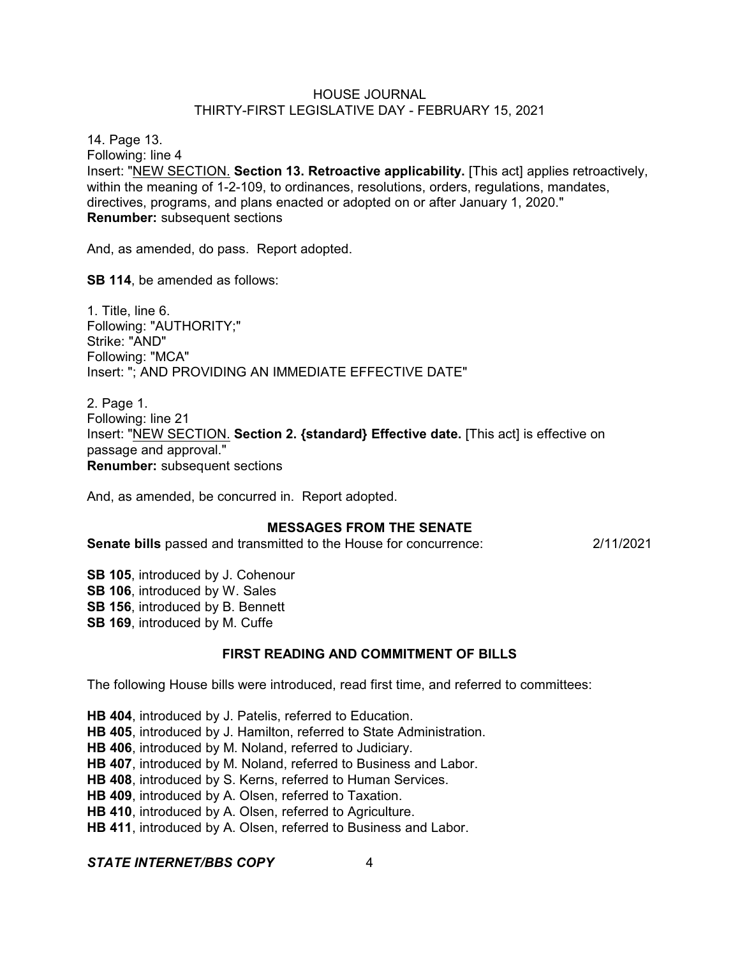14. Page 13. Following: line 4 Insert: "NEW SECTION. **Section 13. Retroactive applicability.** [This act] applies retroactively, within the meaning of 1-2-109, to ordinances, resolutions, orders, regulations, mandates, directives, programs, and plans enacted or adopted on or after January 1, 2020." **Renumber:** subsequent sections

And, as amended, do pass. Report adopted.

**SB 114**, be amended as follows:

1. Title, line 6. Following: "AUTHORITY;" Strike: "AND" Following: "MCA" Insert: "; AND PROVIDING AN IMMEDIATE EFFECTIVE DATE"

2. Page 1. Following: line 21 Insert: "NEW SECTION. **Section 2. {standard} Effective date.** [This act] is effective on passage and approval." **Renumber:** subsequent sections

And, as amended, be concurred in. Report adopted.

### **MESSAGES FROM THE SENATE**

**Senate bills** passed and transmitted to the House for concurrence: 2/11/2021

**SB 105**, introduced by J. Cohenour **SB 106**, introduced by W. Sales **SB 156**, introduced by B. Bennett **SB 169**, introduced by M. Cuffe

### **FIRST READING AND COMMITMENT OF BILLS**

The following House bills were introduced, read first time, and referred to committees:

**HB 404**, introduced by J. Patelis, referred to Education. **HB 405**, introduced by J. Hamilton, referred to State Administration. **HB 406**, introduced by M. Noland, referred to Judiciary. **HB 407**, introduced by M. Noland, referred to Business and Labor. **HB 408**, introduced by S. Kerns, referred to Human Services. **HB 409**, introduced by A. Olsen, referred to Taxation. **HB 410**, introduced by A. Olsen, referred to Agriculture. **HB 411**, introduced by A. Olsen, referred to Business and Labor.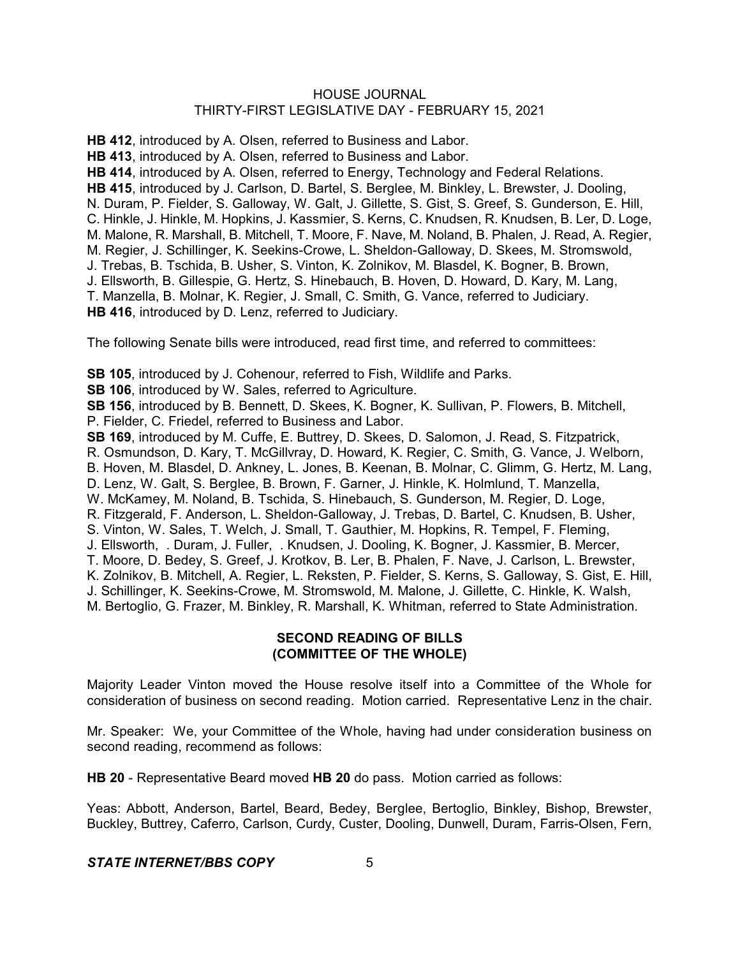**HB 412**, introduced by A. Olsen, referred to Business and Labor.

**HB 413**, introduced by A. Olsen, referred to Business and Labor.

**HB 414**, introduced by A. Olsen, referred to Energy, Technology and Federal Relations. **HB 415**, introduced by J. Carlson, D. Bartel, S. Berglee, M. Binkley, L. Brewster, J. Dooling, N. Duram, P. Fielder, S. Galloway, W. Galt, J. Gillette, S. Gist, S. Greef, S. Gunderson, E. Hill, C. Hinkle, J. Hinkle, M. Hopkins, J. Kassmier, S. Kerns, C. Knudsen, R. Knudsen, B. Ler, D. Loge, M. Malone, R. Marshall, B. Mitchell, T. Moore, F. Nave, M. Noland, B. Phalen, J. Read, A. Regier, M. Regier, J. Schillinger, K. Seekins-Crowe, L. Sheldon-Galloway, D. Skees, M. Stromswold, J. Trebas, B. Tschida, B. Usher, S. Vinton, K. Zolnikov, M. Blasdel, K. Bogner, B. Brown, J. Ellsworth, B. Gillespie, G. Hertz, S. Hinebauch, B. Hoven, D. Howard, D. Kary, M. Lang, T. Manzella, B. Molnar, K. Regier, J. Small, C. Smith, G. Vance, referred to Judiciary. **HB 416**, introduced by D. Lenz, referred to Judiciary.

The following Senate bills were introduced, read first time, and referred to committees:

**SB 105**, introduced by J. Cohenour, referred to Fish, Wildlife and Parks.

**SB 106**, introduced by W. Sales, referred to Agriculture.

**SB 156**, introduced by B. Bennett, D. Skees, K. Bogner, K. Sullivan, P. Flowers, B. Mitchell, P. Fielder, C. Friedel, referred to Business and Labor.

**SB 169**, introduced by M. Cuffe, E. Buttrey, D. Skees, D. Salomon, J. Read, S. Fitzpatrick, R. Osmundson, D. Kary, T. McGillvray, D. Howard, K. Regier, C. Smith, G. Vance, J. Welborn, B. Hoven, M. Blasdel, D. Ankney, L. Jones, B. Keenan, B. Molnar, C. Glimm, G. Hertz, M. Lang, D. Lenz, W. Galt, S. Berglee, B. Brown, F. Garner, J. Hinkle, K. Holmlund, T. Manzella, W. McKamey, M. Noland, B. Tschida, S. Hinebauch, S. Gunderson, M. Regier, D. Loge, R. Fitzgerald, F. Anderson, L. Sheldon-Galloway, J. Trebas, D. Bartel, C. Knudsen, B. Usher, S. Vinton, W. Sales, T. Welch, J. Small, T. Gauthier, M. Hopkins, R. Tempel, F. Fleming, J. Ellsworth, . Duram, J. Fuller, . Knudsen, J. Dooling, K. Bogner, J. Kassmier, B. Mercer, T. Moore, D. Bedey, S. Greef, J. Krotkov, B. Ler, B. Phalen, F. Nave, J. Carlson, L. Brewster, K. Zolnikov, B. Mitchell, A. Regier, L. Reksten, P. Fielder, S. Kerns, S. Galloway, S. Gist, E. Hill, J. Schillinger, K. Seekins-Crowe, M. Stromswold, M. Malone, J. Gillette, C. Hinkle, K. Walsh, M. Bertoglio, G. Frazer, M. Binkley, R. Marshall, K. Whitman, referred to State Administration.

## **SECOND READING OF BILLS (COMMITTEE OF THE WHOLE)**

Majority Leader Vinton moved the House resolve itself into a Committee of the Whole for consideration of business on second reading. Motion carried. Representative Lenz in the chair.

Mr. Speaker: We, your Committee of the Whole, having had under consideration business on second reading, recommend as follows:

**HB 20** - Representative Beard moved **HB 20** do pass. Motion carried as follows:

Yeas: Abbott, Anderson, Bartel, Beard, Bedey, Berglee, Bertoglio, Binkley, Bishop, Brewster, Buckley, Buttrey, Caferro, Carlson, Curdy, Custer, Dooling, Dunwell, Duram, Farris-Olsen, Fern,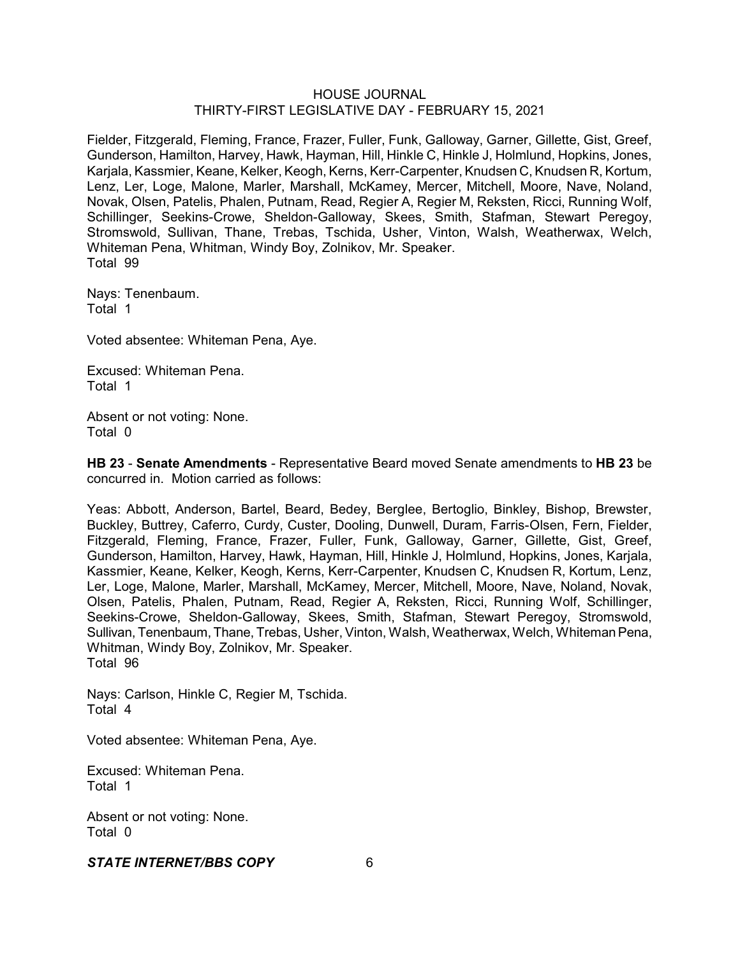Fielder, Fitzgerald, Fleming, France, Frazer, Fuller, Funk, Galloway, Garner, Gillette, Gist, Greef, Gunderson, Hamilton, Harvey, Hawk, Hayman, Hill, Hinkle C, Hinkle J, Holmlund, Hopkins, Jones, Karjala, Kassmier, Keane, Kelker, Keogh, Kerns, Kerr-Carpenter, Knudsen C, Knudsen R, Kortum, Lenz, Ler, Loge, Malone, Marler, Marshall, McKamey, Mercer, Mitchell, Moore, Nave, Noland, Novak, Olsen, Patelis, Phalen, Putnam, Read, Regier A, Regier M, Reksten, Ricci, Running Wolf, Schillinger, Seekins-Crowe, Sheldon-Galloway, Skees, Smith, Stafman, Stewart Peregoy, Stromswold, Sullivan, Thane, Trebas, Tschida, Usher, Vinton, Walsh, Weatherwax, Welch, Whiteman Pena, Whitman, Windy Boy, Zolnikov, Mr. Speaker. Total 99

Nays: Tenenbaum. Total 1

Voted absentee: Whiteman Pena, Aye.

Excused: Whiteman Pena. Total 1

Absent or not voting: None. Total 0

**HB 23** - **Senate Amendments** - Representative Beard moved Senate amendments to **HB 23** be concurred in. Motion carried as follows:

Yeas: Abbott, Anderson, Bartel, Beard, Bedey, Berglee, Bertoglio, Binkley, Bishop, Brewster, Buckley, Buttrey, Caferro, Curdy, Custer, Dooling, Dunwell, Duram, Farris-Olsen, Fern, Fielder, Fitzgerald, Fleming, France, Frazer, Fuller, Funk, Galloway, Garner, Gillette, Gist, Greef, Gunderson, Hamilton, Harvey, Hawk, Hayman, Hill, Hinkle J, Holmlund, Hopkins, Jones, Karjala, Kassmier, Keane, Kelker, Keogh, Kerns, Kerr-Carpenter, Knudsen C, Knudsen R, Kortum, Lenz, Ler, Loge, Malone, Marler, Marshall, McKamey, Mercer, Mitchell, Moore, Nave, Noland, Novak, Olsen, Patelis, Phalen, Putnam, Read, Regier A, Reksten, Ricci, Running Wolf, Schillinger, Seekins-Crowe, Sheldon-Galloway, Skees, Smith, Stafman, Stewart Peregoy, Stromswold, Sullivan, Tenenbaum, Thane, Trebas, Usher, Vinton, Walsh, Weatherwax, Welch, WhitemanPena, Whitman, Windy Boy, Zolnikov, Mr. Speaker. Total 96

Nays: Carlson, Hinkle C, Regier M, Tschida. Total 4

Voted absentee: Whiteman Pena, Aye.

Excused: Whiteman Pena. Total 1

Absent or not voting: None. Total 0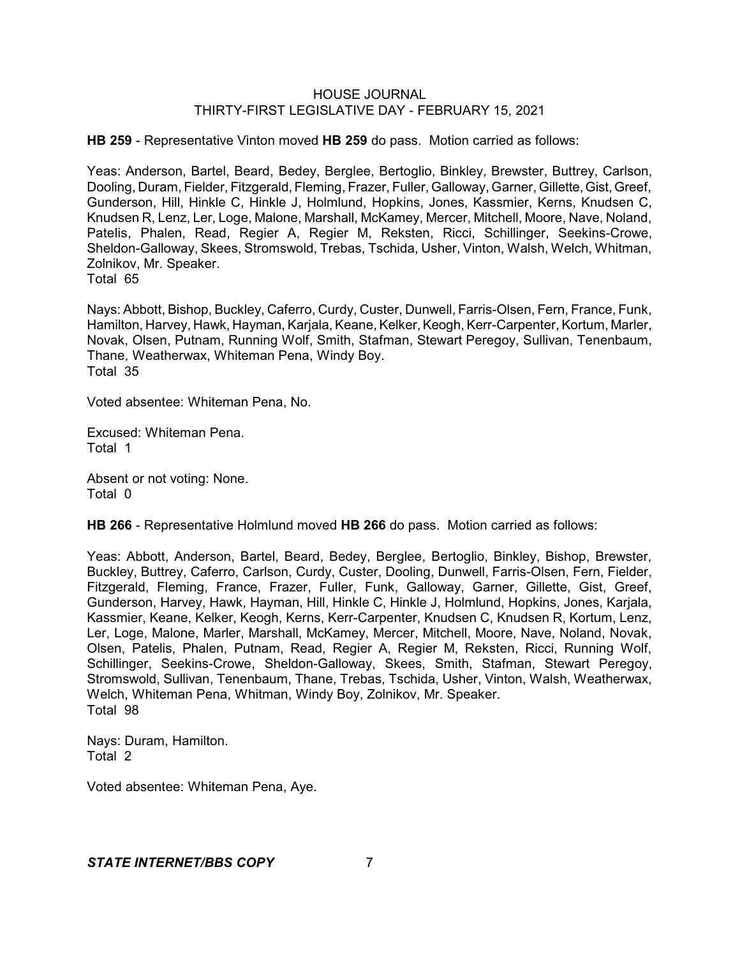**HB 259** - Representative Vinton moved **HB 259** do pass. Motion carried as follows:

Yeas: Anderson, Bartel, Beard, Bedey, Berglee, Bertoglio, Binkley, Brewster, Buttrey, Carlson, Dooling, Duram, Fielder, Fitzgerald, Fleming, Frazer, Fuller, Galloway, Garner, Gillette,Gist, Greef, Gunderson, Hill, Hinkle C, Hinkle J, Holmlund, Hopkins, Jones, Kassmier, Kerns, Knudsen C, Knudsen R, Lenz, Ler, Loge, Malone, Marshall, McKamey, Mercer, Mitchell, Moore, Nave, Noland, Patelis, Phalen, Read, Regier A, Regier M, Reksten, Ricci, Schillinger, Seekins-Crowe, Sheldon-Galloway, Skees, Stromswold, Trebas, Tschida, Usher, Vinton, Walsh, Welch, Whitman, Zolnikov, Mr. Speaker.

Total 65

Nays: Abbott, Bishop, Buckley, Caferro, Curdy, Custer, Dunwell, Farris-Olsen, Fern, France, Funk, Hamilton, Harvey, Hawk, Hayman, Karjala, Keane, Kelker, Keogh, Kerr-Carpenter, Kortum, Marler, Novak, Olsen, Putnam, Running Wolf, Smith, Stafman, Stewart Peregoy, Sullivan, Tenenbaum, Thane, Weatherwax, Whiteman Pena, Windy Boy. Total 35

Voted absentee: Whiteman Pena, No.

Excused: Whiteman Pena. Total 1

Absent or not voting: None. Total 0

**HB 266** - Representative Holmlund moved **HB 266** do pass. Motion carried as follows:

Yeas: Abbott, Anderson, Bartel, Beard, Bedey, Berglee, Bertoglio, Binkley, Bishop, Brewster, Buckley, Buttrey, Caferro, Carlson, Curdy, Custer, Dooling, Dunwell, Farris-Olsen, Fern, Fielder, Fitzgerald, Fleming, France, Frazer, Fuller, Funk, Galloway, Garner, Gillette, Gist, Greef, Gunderson, Harvey, Hawk, Hayman, Hill, Hinkle C, Hinkle J, Holmlund, Hopkins, Jones, Karjala, Kassmier, Keane, Kelker, Keogh, Kerns, Kerr-Carpenter, Knudsen C, Knudsen R, Kortum, Lenz, Ler, Loge, Malone, Marler, Marshall, McKamey, Mercer, Mitchell, Moore, Nave, Noland, Novak, Olsen, Patelis, Phalen, Putnam, Read, Regier A, Regier M, Reksten, Ricci, Running Wolf, Schillinger, Seekins-Crowe, Sheldon-Galloway, Skees, Smith, Stafman, Stewart Peregoy, Stromswold, Sullivan, Tenenbaum, Thane, Trebas, Tschida, Usher, Vinton, Walsh, Weatherwax, Welch, Whiteman Pena, Whitman, Windy Boy, Zolnikov, Mr. Speaker. Total 98

Nays: Duram, Hamilton. Total 2

Voted absentee: Whiteman Pena, Aye.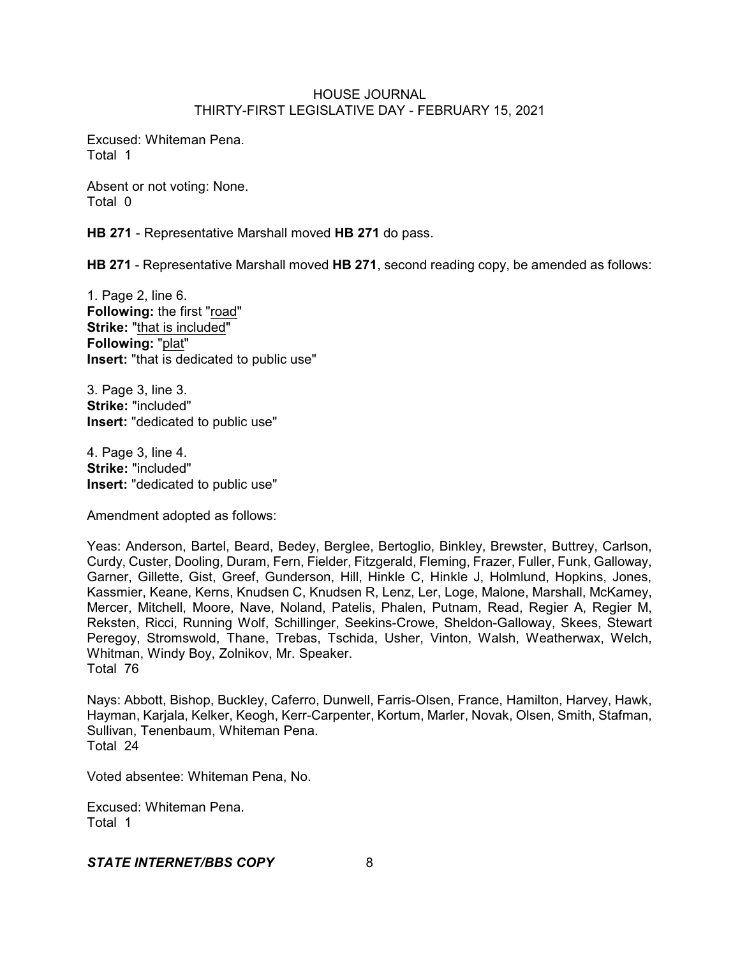Excused: Whiteman Pena. Total 1

Absent or not voting: None. Total 0

**HB 271** - Representative Marshall moved **HB 271** do pass.

**HB 271** - Representative Marshall moved **HB 271**, second reading copy, be amended as follows:

1. Page 2, line 6. **Following:** the first "road" **Strike:** "that is included" **Following:** "plat" **Insert:** "that is dedicated to public use"

3. Page 3, line 3. **Strike:** "included" **Insert:** "dedicated to public use"

4. Page 3, line 4. **Strike:** "included" **Insert:** "dedicated to public use"

Amendment adopted as follows:

Yeas: Anderson, Bartel, Beard, Bedey, Berglee, Bertoglio, Binkley, Brewster, Buttrey, Carlson, Curdy, Custer, Dooling, Duram, Fern, Fielder, Fitzgerald, Fleming, Frazer, Fuller, Funk, Galloway, Garner, Gillette, Gist, Greef, Gunderson, Hill, Hinkle C, Hinkle J, Holmlund, Hopkins, Jones, Kassmier, Keane, Kerns, Knudsen C, Knudsen R, Lenz, Ler, Loge, Malone, Marshall, McKamey, Mercer, Mitchell, Moore, Nave, Noland, Patelis, Phalen, Putnam, Read, Regier A, Regier M, Reksten, Ricci, Running Wolf, Schillinger, Seekins-Crowe, Sheldon-Galloway, Skees, Stewart Peregoy, Stromswold, Thane, Trebas, Tschida, Usher, Vinton, Walsh, Weatherwax, Welch, Whitman, Windy Boy, Zolnikov, Mr. Speaker. Total 76

Nays: Abbott, Bishop, Buckley, Caferro, Dunwell, Farris-Olsen, France, Hamilton, Harvey, Hawk, Hayman, Karjala, Kelker, Keogh, Kerr-Carpenter, Kortum, Marler, Novak, Olsen, Smith, Stafman, Sullivan, Tenenbaum, Whiteman Pena. Total 24

Voted absentee: Whiteman Pena, No.

Excused: Whiteman Pena. Total 1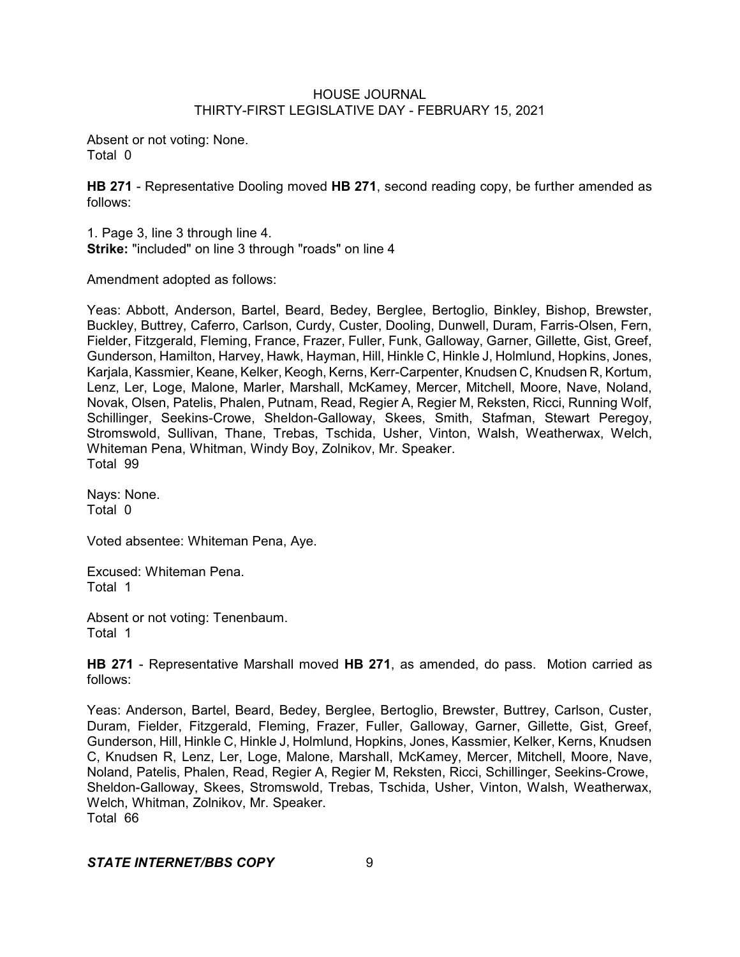Absent or not voting: None. Total 0

**HB 271** - Representative Dooling moved **HB 271**, second reading copy, be further amended as follows:

1. Page 3, line 3 through line 4. **Strike:** "included" on line 3 through "roads" on line 4

Amendment adopted as follows:

Yeas: Abbott, Anderson, Bartel, Beard, Bedey, Berglee, Bertoglio, Binkley, Bishop, Brewster, Buckley, Buttrey, Caferro, Carlson, Curdy, Custer, Dooling, Dunwell, Duram, Farris-Olsen, Fern, Fielder, Fitzgerald, Fleming, France, Frazer, Fuller, Funk, Galloway, Garner, Gillette, Gist, Greef, Gunderson, Hamilton, Harvey, Hawk, Hayman, Hill, Hinkle C, Hinkle J, Holmlund, Hopkins, Jones, Karjala, Kassmier, Keane, Kelker, Keogh, Kerns, Kerr-Carpenter, Knudsen C, Knudsen R, Kortum, Lenz, Ler, Loge, Malone, Marler, Marshall, McKamey, Mercer, Mitchell, Moore, Nave, Noland, Novak, Olsen, Patelis, Phalen, Putnam, Read, Regier A, Regier M, Reksten, Ricci, Running Wolf, Schillinger, Seekins-Crowe, Sheldon-Galloway, Skees, Smith, Stafman, Stewart Peregov. Stromswold, Sullivan, Thane, Trebas, Tschida, Usher, Vinton, Walsh, Weatherwax, Welch, Whiteman Pena, Whitman, Windy Boy, Zolnikov, Mr. Speaker. Total 99

Nays: None. Total 0

Voted absentee: Whiteman Pena, Aye.

Excused: Whiteman Pena. Total 1

Absent or not voting: Tenenbaum. Total 1

**HB 271** - Representative Marshall moved **HB 271**, as amended, do pass. Motion carried as follows:

Yeas: Anderson, Bartel, Beard, Bedey, Berglee, Bertoglio, Brewster, Buttrey, Carlson, Custer, Duram, Fielder, Fitzgerald, Fleming, Frazer, Fuller, Galloway, Garner, Gillette, Gist, Greef, Gunderson, Hill, Hinkle C, Hinkle J, Holmlund, Hopkins, Jones, Kassmier, Kelker, Kerns, Knudsen C, Knudsen R, Lenz, Ler, Loge, Malone, Marshall, McKamey, Mercer, Mitchell, Moore, Nave, Noland, Patelis, Phalen, Read, Regier A, Regier M, Reksten, Ricci, Schillinger, Seekins-Crowe, Sheldon-Galloway, Skees, Stromswold, Trebas, Tschida, Usher, Vinton, Walsh, Weatherwax, Welch, Whitman, Zolnikov, Mr. Speaker. Total 66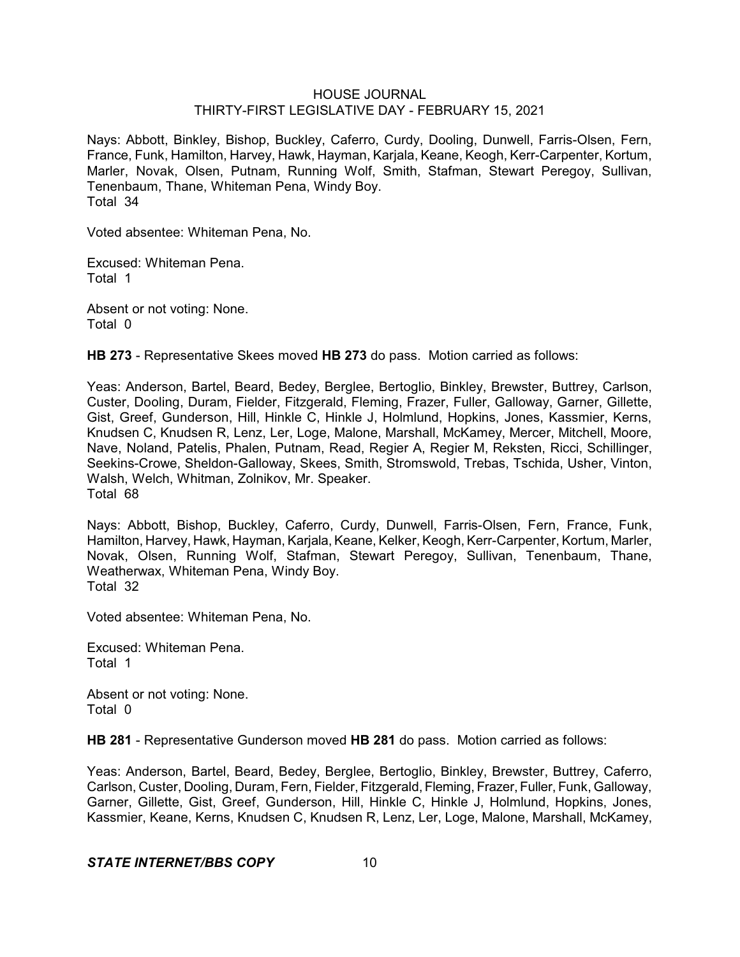Nays: Abbott, Binkley, Bishop, Buckley, Caferro, Curdy, Dooling, Dunwell, Farris-Olsen, Fern, France, Funk, Hamilton, Harvey, Hawk, Hayman, Karjala, Keane, Keogh, Kerr-Carpenter, Kortum, Marler, Novak, Olsen, Putnam, Running Wolf, Smith, Stafman, Stewart Peregoy, Sullivan, Tenenbaum, Thane, Whiteman Pena, Windy Boy. Total 34

Voted absentee: Whiteman Pena, No.

Excused: Whiteman Pena. Total 1

Absent or not voting: None. Total 0

**HB 273** - Representative Skees moved **HB 273** do pass. Motion carried as follows:

Yeas: Anderson, Bartel, Beard, Bedey, Berglee, Bertoglio, Binkley, Brewster, Buttrey, Carlson, Custer, Dooling, Duram, Fielder, Fitzgerald, Fleming, Frazer, Fuller, Galloway, Garner, Gillette, Gist, Greef, Gunderson, Hill, Hinkle C, Hinkle J, Holmlund, Hopkins, Jones, Kassmier, Kerns, Knudsen C, Knudsen R, Lenz, Ler, Loge, Malone, Marshall, McKamey, Mercer, Mitchell, Moore, Nave, Noland, Patelis, Phalen, Putnam, Read, Regier A, Regier M, Reksten, Ricci, Schillinger, Seekins-Crowe, Sheldon-Galloway, Skees, Smith, Stromswold, Trebas, Tschida, Usher, Vinton, Walsh, Welch, Whitman, Zolnikov, Mr. Speaker. Total 68

Nays: Abbott, Bishop, Buckley, Caferro, Curdy, Dunwell, Farris-Olsen, Fern, France, Funk, Hamilton, Harvey, Hawk, Hayman, Karjala, Keane, Kelker, Keogh, Kerr-Carpenter, Kortum, Marler, Novak, Olsen, Running Wolf, Stafman, Stewart Peregoy, Sullivan, Tenenbaum, Thane, Weatherwax, Whiteman Pena, Windy Boy. Total 32

Voted absentee: Whiteman Pena, No.

Excused: Whiteman Pena. Total 1

Absent or not voting: None. Total 0

**HB 281** - Representative Gunderson moved **HB 281** do pass. Motion carried as follows:

Yeas: Anderson, Bartel, Beard, Bedey, Berglee, Bertoglio, Binkley, Brewster, Buttrey, Caferro, Carlson, Custer, Dooling, Duram, Fern, Fielder, Fitzgerald, Fleming, Frazer, Fuller, Funk, Galloway, Garner, Gillette, Gist, Greef, Gunderson, Hill, Hinkle C, Hinkle J, Holmlund, Hopkins, Jones, Kassmier, Keane, Kerns, Knudsen C, Knudsen R, Lenz, Ler, Loge, Malone, Marshall, McKamey,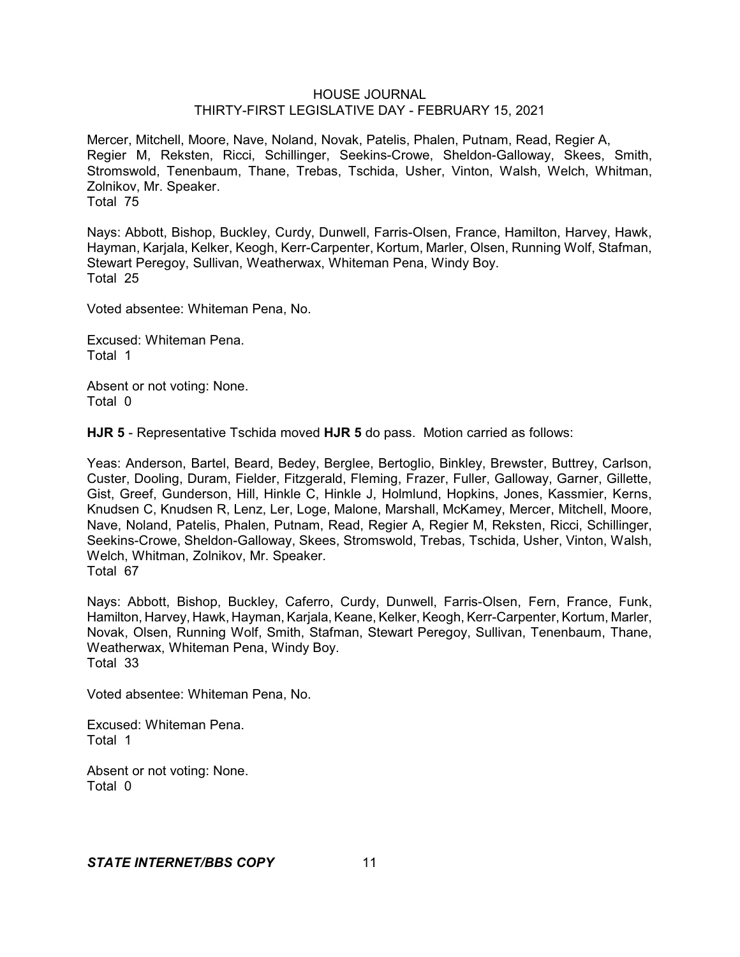Mercer, Mitchell, Moore, Nave, Noland, Novak, Patelis, Phalen, Putnam, Read, Regier A, Regier M, Reksten, Ricci, Schillinger, Seekins-Crowe, Sheldon-Galloway, Skees, Smith, Stromswold, Tenenbaum, Thane, Trebas, Tschida, Usher, Vinton, Walsh, Welch, Whitman, Zolnikov, Mr. Speaker. Total 75

Nays: Abbott, Bishop, Buckley, Curdy, Dunwell, Farris-Olsen, France, Hamilton, Harvey, Hawk, Hayman, Karjala, Kelker, Keogh, Kerr-Carpenter, Kortum, Marler, Olsen, Running Wolf, Stafman, Stewart Peregoy, Sullivan, Weatherwax, Whiteman Pena, Windy Boy. Total 25

Voted absentee: Whiteman Pena, No.

Excused: Whiteman Pena. Total 1

Absent or not voting: None. Total 0

**HJR 5** - Representative Tschida moved **HJR 5** do pass. Motion carried as follows:

Yeas: Anderson, Bartel, Beard, Bedey, Berglee, Bertoglio, Binkley, Brewster, Buttrey, Carlson, Custer, Dooling, Duram, Fielder, Fitzgerald, Fleming, Frazer, Fuller, Galloway, Garner, Gillette, Gist, Greef, Gunderson, Hill, Hinkle C, Hinkle J, Holmlund, Hopkins, Jones, Kassmier, Kerns, Knudsen C, Knudsen R, Lenz, Ler, Loge, Malone, Marshall, McKamey, Mercer, Mitchell, Moore, Nave, Noland, Patelis, Phalen, Putnam, Read, Regier A, Regier M, Reksten, Ricci, Schillinger, Seekins-Crowe, Sheldon-Galloway, Skees, Stromswold, Trebas, Tschida, Usher, Vinton, Walsh, Welch, Whitman, Zolnikov, Mr. Speaker. Total 67

Nays: Abbott, Bishop, Buckley, Caferro, Curdy, Dunwell, Farris-Olsen, Fern, France, Funk, Hamilton, Harvey, Hawk, Hayman, Karjala, Keane, Kelker, Keogh, Kerr-Carpenter, Kortum, Marler, Novak, Olsen, Running Wolf, Smith, Stafman, Stewart Peregoy, Sullivan, Tenenbaum, Thane, Weatherwax, Whiteman Pena, Windy Boy. Total 33

Voted absentee: Whiteman Pena, No.

Excused: Whiteman Pena. Total 1

Absent or not voting: None. Total 0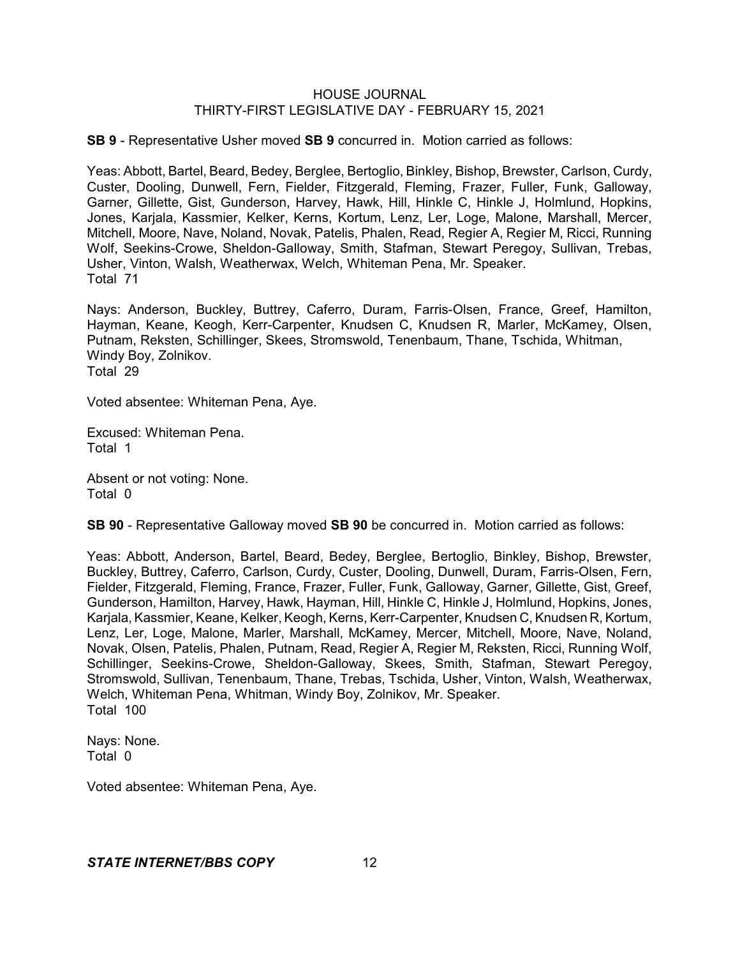**SB 9** - Representative Usher moved **SB 9** concurred in. Motion carried as follows:

Yeas: Abbott, Bartel, Beard, Bedey, Berglee, Bertoglio, Binkley, Bishop, Brewster, Carlson, Curdy, Custer, Dooling, Dunwell, Fern, Fielder, Fitzgerald, Fleming, Frazer, Fuller, Funk, Galloway, Garner, Gillette, Gist, Gunderson, Harvey, Hawk, Hill, Hinkle C, Hinkle J, Holmlund, Hopkins, Jones, Karjala, Kassmier, Kelker, Kerns, Kortum, Lenz, Ler, Loge, Malone, Marshall, Mercer, Mitchell, Moore, Nave, Noland, Novak, Patelis, Phalen, Read, Regier A, Regier M, Ricci, Running Wolf, Seekins-Crowe, Sheldon-Galloway, Smith, Stafman, Stewart Peregoy, Sullivan, Trebas, Usher, Vinton, Walsh, Weatherwax, Welch, Whiteman Pena, Mr. Speaker. Total 71

Nays: Anderson, Buckley, Buttrey, Caferro, Duram, Farris-Olsen, France, Greef, Hamilton, Hayman, Keane, Keogh, Kerr-Carpenter, Knudsen C, Knudsen R, Marler, McKamey, Olsen, Putnam, Reksten, Schillinger, Skees, Stromswold, Tenenbaum, Thane, Tschida, Whitman, Windy Boy, Zolnikov. Total 29

Voted absentee: Whiteman Pena, Aye.

Excused: Whiteman Pena. Total 1

Absent or not voting: None. Total 0

**SB 90** - Representative Galloway moved **SB 90** be concurred in. Motion carried as follows:

Yeas: Abbott, Anderson, Bartel, Beard, Bedey, Berglee, Bertoglio, Binkley, Bishop, Brewster, Buckley, Buttrey, Caferro, Carlson, Curdy, Custer, Dooling, Dunwell, Duram, Farris-Olsen, Fern, Fielder, Fitzgerald, Fleming, France, Frazer, Fuller, Funk, Galloway, Garner, Gillette, Gist, Greef, Gunderson, Hamilton, Harvey, Hawk, Hayman, Hill, Hinkle C, Hinkle J, Holmlund, Hopkins, Jones, Karjala, Kassmier, Keane, Kelker, Keogh, Kerns, Kerr-Carpenter, Knudsen C, Knudsen R, Kortum, Lenz, Ler, Loge, Malone, Marler, Marshall, McKamey, Mercer, Mitchell, Moore, Nave, Noland, Novak, Olsen, Patelis, Phalen, Putnam, Read, Regier A, Regier M, Reksten, Ricci, Running Wolf, Schillinger, Seekins-Crowe, Sheldon-Galloway, Skees, Smith, Stafman, Stewart Peregoy, Stromswold, Sullivan, Tenenbaum, Thane, Trebas, Tschida, Usher, Vinton, Walsh, Weatherwax, Welch, Whiteman Pena, Whitman, Windy Boy, Zolnikov, Mr. Speaker. Total 100

Nays: None. Total 0

Voted absentee: Whiteman Pena, Aye.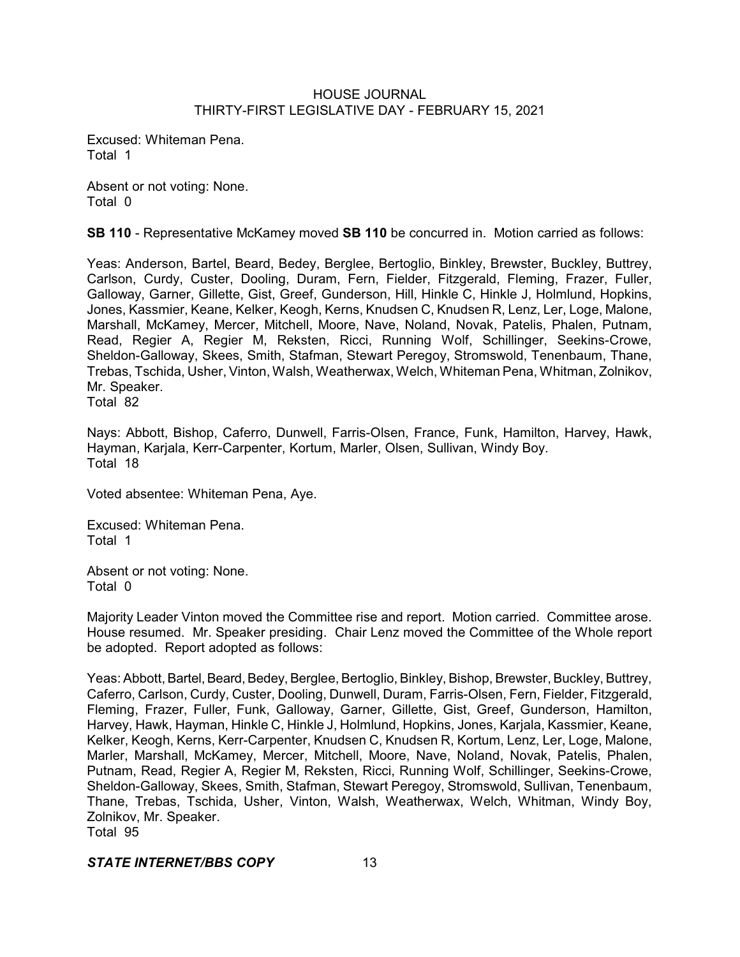Excused: Whiteman Pena. Total 1

Absent or not voting: None. Total 0

**SB 110** - Representative McKamey moved **SB 110** be concurred in. Motion carried as follows:

Yeas: Anderson, Bartel, Beard, Bedey, Berglee, Bertoglio, Binkley, Brewster, Buckley, Buttrey, Carlson, Curdy, Custer, Dooling, Duram, Fern, Fielder, Fitzgerald, Fleming, Frazer, Fuller, Galloway, Garner, Gillette, Gist, Greef, Gunderson, Hill, Hinkle C, Hinkle J, Holmlund, Hopkins, Jones, Kassmier, Keane, Kelker, Keogh, Kerns, Knudsen C, Knudsen R, Lenz, Ler, Loge, Malone, Marshall, McKamey, Mercer, Mitchell, Moore, Nave, Noland, Novak, Patelis, Phalen, Putnam, Read, Regier A, Regier M, Reksten, Ricci, Running Wolf, Schillinger, Seekins-Crowe, Sheldon-Galloway, Skees, Smith, Stafman, Stewart Peregoy, Stromswold, Tenenbaum, Thane, Trebas, Tschida, Usher,Vinton, Walsh, Weatherwax, Welch, Whiteman Pena, Whitman, Zolnikov, Mr. Speaker.

Total 82

Nays: Abbott, Bishop, Caferro, Dunwell, Farris-Olsen, France, Funk, Hamilton, Harvey, Hawk, Hayman, Karjala, Kerr-Carpenter, Kortum, Marler, Olsen, Sullivan, Windy Boy. Total 18

Voted absentee: Whiteman Pena, Aye.

Excused: Whiteman Pena. Total 1

Absent or not voting: None. Total 0

Majority Leader Vinton moved the Committee rise and report. Motion carried. Committee arose. House resumed. Mr. Speaker presiding. Chair Lenz moved the Committee of the Whole report be adopted. Report adopted as follows:

Yeas: Abbott, Bartel, Beard, Bedey, Berglee, Bertoglio, Binkley, Bishop, Brewster, Buckley, Buttrey, Caferro, Carlson, Curdy, Custer, Dooling, Dunwell, Duram, Farris-Olsen, Fern, Fielder, Fitzgerald, Fleming, Frazer, Fuller, Funk, Galloway, Garner, Gillette, Gist, Greef, Gunderson, Hamilton, Harvey, Hawk, Hayman, Hinkle C, Hinkle J, Holmlund, Hopkins, Jones, Karjala, Kassmier, Keane, Kelker, Keogh, Kerns, Kerr-Carpenter, Knudsen C, Knudsen R, Kortum, Lenz, Ler, Loge, Malone, Marler, Marshall, McKamey, Mercer, Mitchell, Moore, Nave, Noland, Novak, Patelis, Phalen, Putnam, Read, Regier A, Regier M, Reksten, Ricci, Running Wolf, Schillinger, Seekins-Crowe, Sheldon-Galloway, Skees, Smith, Stafman, Stewart Peregoy, Stromswold, Sullivan, Tenenbaum, Thane, Trebas, Tschida, Usher, Vinton, Walsh, Weatherwax, Welch, Whitman, Windy Boy, Zolnikov, Mr. Speaker. Total 95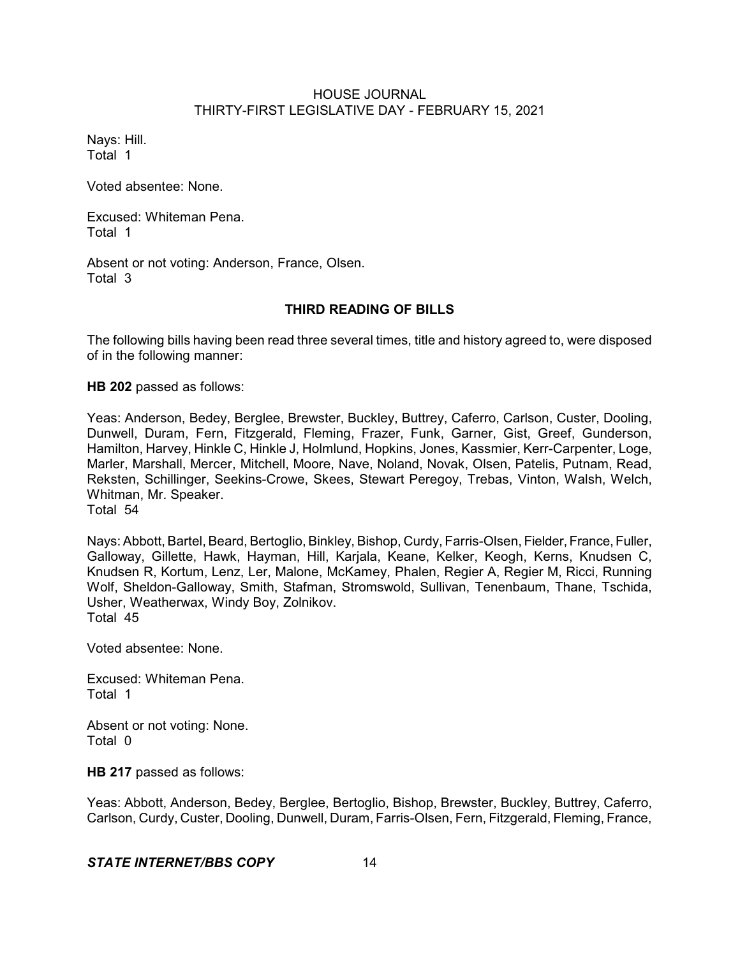Nays: Hill. Total 1

Voted absentee: None.

Excused: Whiteman Pena. Total 1

Absent or not voting: Anderson, France, Olsen. Total 3

### **THIRD READING OF BILLS**

The following bills having been read three several times, title and history agreed to, were disposed of in the following manner:

**HB 202** passed as follows:

Yeas: Anderson, Bedey, Berglee, Brewster, Buckley, Buttrey, Caferro, Carlson, Custer, Dooling, Dunwell, Duram, Fern, Fitzgerald, Fleming, Frazer, Funk, Garner, Gist, Greef, Gunderson, Hamilton, Harvey, Hinkle C, Hinkle J, Holmlund, Hopkins, Jones, Kassmier, Kerr-Carpenter, Loge, Marler, Marshall, Mercer, Mitchell, Moore, Nave, Noland, Novak, Olsen, Patelis, Putnam, Read, Reksten, Schillinger, Seekins-Crowe, Skees, Stewart Peregoy, Trebas, Vinton, Walsh, Welch, Whitman, Mr. Speaker. Total 54

Nays: Abbott, Bartel, Beard, Bertoglio, Binkley, Bishop, Curdy, Farris-Olsen, Fielder, France, Fuller, Galloway, Gillette, Hawk, Hayman, Hill, Karjala, Keane, Kelker, Keogh, Kerns, Knudsen C, Knudsen R, Kortum, Lenz, Ler, Malone, McKamey, Phalen, Regier A, Regier M, Ricci, Running Wolf, Sheldon-Galloway, Smith, Stafman, Stromswold, Sullivan, Tenenbaum, Thane, Tschida, Usher, Weatherwax, Windy Boy, Zolnikov. Total 45

Voted absentee: None.

Excused: Whiteman Pena. Total 1

Absent or not voting: None. Total 0

**HB 217** passed as follows:

Yeas: Abbott, Anderson, Bedey, Berglee, Bertoglio, Bishop, Brewster, Buckley, Buttrey, Caferro, Carlson, Curdy, Custer, Dooling, Dunwell, Duram, Farris-Olsen, Fern, Fitzgerald, Fleming, France,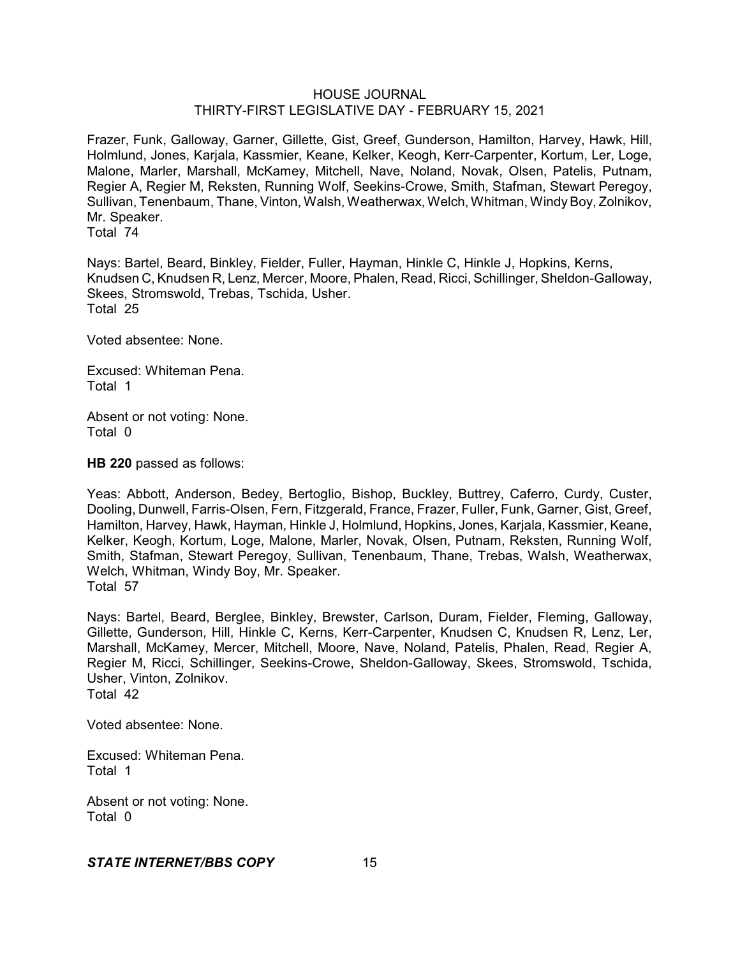Frazer, Funk, Galloway, Garner, Gillette, Gist, Greef, Gunderson, Hamilton, Harvey, Hawk, Hill, Holmlund, Jones, Karjala, Kassmier, Keane, Kelker, Keogh, Kerr-Carpenter, Kortum, Ler, Loge, Malone, Marler, Marshall, McKamey, Mitchell, Nave, Noland, Novak, Olsen, Patelis, Putnam, Regier A, Regier M, Reksten, Running Wolf, Seekins-Crowe, Smith, Stafman, Stewart Peregoy, Sullivan, Tenenbaum, Thane, Vinton, Walsh, Weatherwax, Welch, Whitman, WindyBoy, Zolnikov, Mr. Speaker.

Total 74

Nays: Bartel, Beard, Binkley, Fielder, Fuller, Hayman, Hinkle C, Hinkle J, Hopkins, Kerns, Knudsen C, Knudsen R, Lenz, Mercer, Moore, Phalen, Read, Ricci, Schillinger, Sheldon-Galloway, Skees, Stromswold, Trebas, Tschida, Usher. Total 25

Voted absentee: None.

Excused: Whiteman Pena. Total 1

Absent or not voting: None. Total 0

**HB 220** passed as follows:

Yeas: Abbott, Anderson, Bedey, Bertoglio, Bishop, Buckley, Buttrey, Caferro, Curdy, Custer, Dooling, Dunwell, Farris-Olsen, Fern, Fitzgerald, France, Frazer, Fuller, Funk, Garner, Gist, Greef, Hamilton, Harvey, Hawk, Hayman, Hinkle J, Holmlund, Hopkins, Jones, Karjala, Kassmier, Keane, Kelker, Keogh, Kortum, Loge, Malone, Marler, Novak, Olsen, Putnam, Reksten, Running Wolf, Smith, Stafman, Stewart Peregoy, Sullivan, Tenenbaum, Thane, Trebas, Walsh, Weatherwax, Welch, Whitman, Windy Boy, Mr. Speaker. Total 57

Nays: Bartel, Beard, Berglee, Binkley, Brewster, Carlson, Duram, Fielder, Fleming, Galloway, Gillette, Gunderson, Hill, Hinkle C, Kerns, Kerr-Carpenter, Knudsen C, Knudsen R, Lenz, Ler, Marshall, McKamey, Mercer, Mitchell, Moore, Nave, Noland, Patelis, Phalen, Read, Regier A, Regier M, Ricci, Schillinger, Seekins-Crowe, Sheldon-Galloway, Skees, Stromswold, Tschida, Usher, Vinton, Zolnikov. Total 42

Voted absentee: None.

Excused: Whiteman Pena. Total 1

Absent or not voting: None. Total 0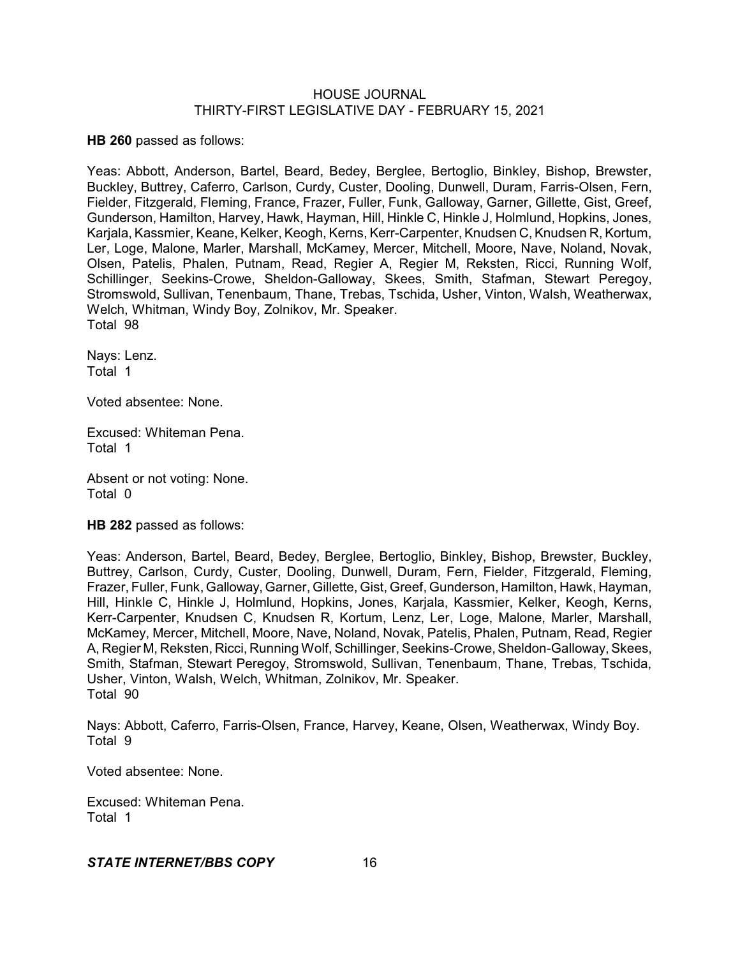**HB 260** passed as follows:

Yeas: Abbott, Anderson, Bartel, Beard, Bedey, Berglee, Bertoglio, Binkley, Bishop, Brewster, Buckley, Buttrey, Caferro, Carlson, Curdy, Custer, Dooling, Dunwell, Duram, Farris-Olsen, Fern, Fielder, Fitzgerald, Fleming, France, Frazer, Fuller, Funk, Galloway, Garner, Gillette, Gist, Greef, Gunderson, Hamilton, Harvey, Hawk, Hayman, Hill, Hinkle C, Hinkle J, Holmlund, Hopkins, Jones, Karjala, Kassmier, Keane, Kelker, Keogh, Kerns, Kerr-Carpenter, Knudsen C, Knudsen R, Kortum, Ler, Loge, Malone, Marler, Marshall, McKamey, Mercer, Mitchell, Moore, Nave, Noland, Novak, Olsen, Patelis, Phalen, Putnam, Read, Regier A, Regier M, Reksten, Ricci, Running Wolf, Schillinger, Seekins-Crowe, Sheldon-Galloway, Skees, Smith, Stafman, Stewart Peregoy, Stromswold, Sullivan, Tenenbaum, Thane, Trebas, Tschida, Usher, Vinton, Walsh, Weatherwax, Welch, Whitman, Windy Boy, Zolnikov, Mr. Speaker. Total 98

Nays: Lenz. Total 1

Voted absentee: None.

Excused: Whiteman Pena. Total 1

Absent or not voting: None. Total 0

**HB 282** passed as follows:

Yeas: Anderson, Bartel, Beard, Bedey, Berglee, Bertoglio, Binkley, Bishop, Brewster, Buckley, Buttrey, Carlson, Curdy, Custer, Dooling, Dunwell, Duram, Fern, Fielder, Fitzgerald, Fleming, Frazer, Fuller, Funk, Galloway, Garner, Gillette, Gist, Greef, Gunderson, Hamilton, Hawk, Hayman, Hill, Hinkle C, Hinkle J, Holmlund, Hopkins, Jones, Karjala, Kassmier, Kelker, Keogh, Kerns, Kerr-Carpenter, Knudsen C, Knudsen R, Kortum, Lenz, Ler, Loge, Malone, Marler, Marshall, McKamey, Mercer, Mitchell, Moore, Nave, Noland, Novak, Patelis, Phalen, Putnam, Read, Regier A, Regier M, Reksten, Ricci, Running Wolf, Schillinger, Seekins-Crowe,Sheldon-Galloway, Skees, Smith, Stafman, Stewart Peregoy, Stromswold, Sullivan, Tenenbaum, Thane, Trebas, Tschida, Usher, Vinton, Walsh, Welch, Whitman, Zolnikov, Mr. Speaker. Total 90

Nays: Abbott, Caferro, Farris-Olsen, France, Harvey, Keane, Olsen, Weatherwax, Windy Boy. Total 9

Voted absentee: None.

Excused: Whiteman Pena. Total 1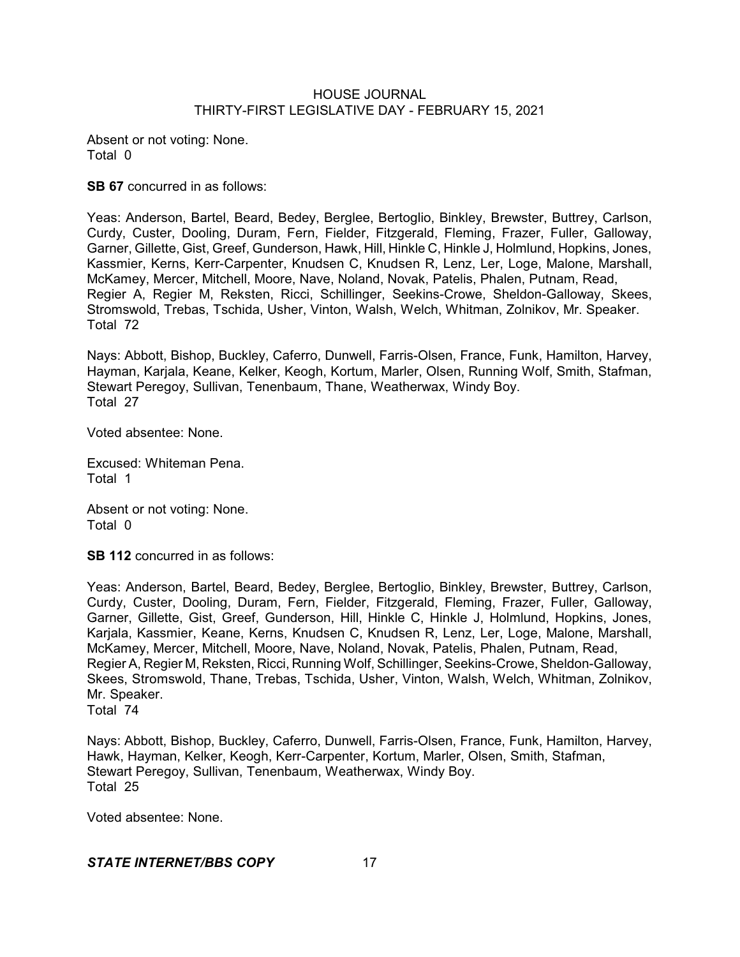Absent or not voting: None. Total 0

**SB 67** concurred in as follows:

Yeas: Anderson, Bartel, Beard, Bedey, Berglee, Bertoglio, Binkley, Brewster, Buttrey, Carlson, Curdy, Custer, Dooling, Duram, Fern, Fielder, Fitzgerald, Fleming, Frazer, Fuller, Galloway, Garner, Gillette, Gist, Greef, Gunderson, Hawk, Hill, Hinkle C, Hinkle J, Holmlund, Hopkins, Jones, Kassmier, Kerns, Kerr-Carpenter, Knudsen C, Knudsen R, Lenz, Ler, Loge, Malone, Marshall, McKamey, Mercer, Mitchell, Moore, Nave, Noland, Novak, Patelis, Phalen, Putnam, Read, Regier A, Regier M, Reksten, Ricci, Schillinger, Seekins-Crowe, Sheldon-Galloway, Skees, Stromswold, Trebas, Tschida, Usher, Vinton, Walsh, Welch, Whitman, Zolnikov, Mr. Speaker. Total 72

Nays: Abbott, Bishop, Buckley, Caferro, Dunwell, Farris-Olsen, France, Funk, Hamilton, Harvey, Hayman, Karjala, Keane, Kelker, Keogh, Kortum, Marler, Olsen, Running Wolf, Smith, Stafman, Stewart Peregoy, Sullivan, Tenenbaum, Thane, Weatherwax, Windy Boy. Total 27

Voted absentee: None.

Excused: Whiteman Pena. Total 1

Absent or not voting: None. Total 0

**SB 112** concurred in as follows:

Yeas: Anderson, Bartel, Beard, Bedey, Berglee, Bertoglio, Binkley, Brewster, Buttrey, Carlson, Curdy, Custer, Dooling, Duram, Fern, Fielder, Fitzgerald, Fleming, Frazer, Fuller, Galloway, Garner, Gillette, Gist, Greef, Gunderson, Hill, Hinkle C, Hinkle J, Holmlund, Hopkins, Jones, Karjala, Kassmier, Keane, Kerns, Knudsen C, Knudsen R, Lenz, Ler, Loge, Malone, Marshall, McKamey, Mercer, Mitchell, Moore, Nave, Noland, Novak, Patelis, Phalen, Putnam, Read, Regier A, Regier M, Reksten, Ricci, Running Wolf, Schillinger, Seekins-Crowe, Sheldon-Galloway, Skees, Stromswold, Thane, Trebas, Tschida, Usher, Vinton, Walsh, Welch, Whitman, Zolnikov, Mr. Speaker. Total 74

Nays: Abbott, Bishop, Buckley, Caferro, Dunwell, Farris-Olsen, France, Funk, Hamilton, Harvey, Hawk, Hayman, Kelker, Keogh, Kerr-Carpenter, Kortum, Marler, Olsen, Smith, Stafman, Stewart Peregoy, Sullivan, Tenenbaum, Weatherwax, Windy Boy. Total 25

Voted absentee: None.